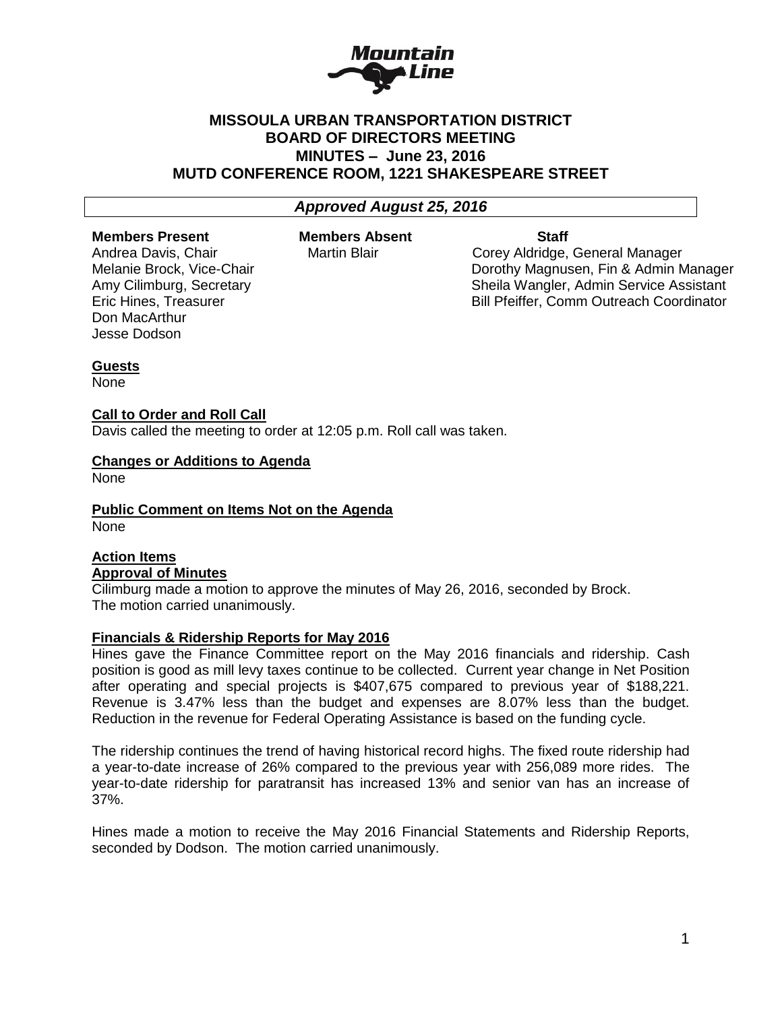

## **MISSOULA URBAN TRANSPORTATION DISTRICT BOARD OF DIRECTORS MEETING MINUTES – June 23, 2016 MUTD CONFERENCE ROOM, 1221 SHAKESPEARE STREET**

## *Approved August 25, 2016*

#### **Members Present Members Absent Staff**

Andrea Davis, Chair **Martin Blair** Corey Aldridge, General Manager Melanie Brock, Vice-Chair Dorothy Magnusen, Fin & Admin Manager Amy Cilimburg, Secretary Sheila Wangler, Admin Service Assistant Eric Hines, Treasurer **Bill Pfeiffer, Comm Outreach Coordinator** Bill Pfeiffer, Comm Outreach Coordinator

# Don MacArthur Jesse Dodson

## **Guests**

None

#### **Call to Order and Roll Call**

Davis called the meeting to order at 12:05 p.m. Roll call was taken.

#### **Changes or Additions to Agenda**

None

**Public Comment on Items Not on the Agenda** None

## **Action Items Approval of Minutes**

Cilimburg made a motion to approve the minutes of May 26, 2016, seconded by Brock. The motion carried unanimously.

#### **Financials & Ridership Reports for May 2016**

Hines gave the Finance Committee report on the May 2016 financials and ridership. Cash position is good as mill levy taxes continue to be collected. Current year change in Net Position after operating and special projects is \$407,675 compared to previous year of \$188,221. Revenue is 3.47% less than the budget and expenses are 8.07% less than the budget. Reduction in the revenue for Federal Operating Assistance is based on the funding cycle.

The ridership continues the trend of having historical record highs. The fixed route ridership had a year-to-date increase of 26% compared to the previous year with 256,089 more rides. The year-to-date ridership for paratransit has increased 13% and senior van has an increase of 37%.

Hines made a motion to receive the May 2016 Financial Statements and Ridership Reports, seconded by Dodson. The motion carried unanimously.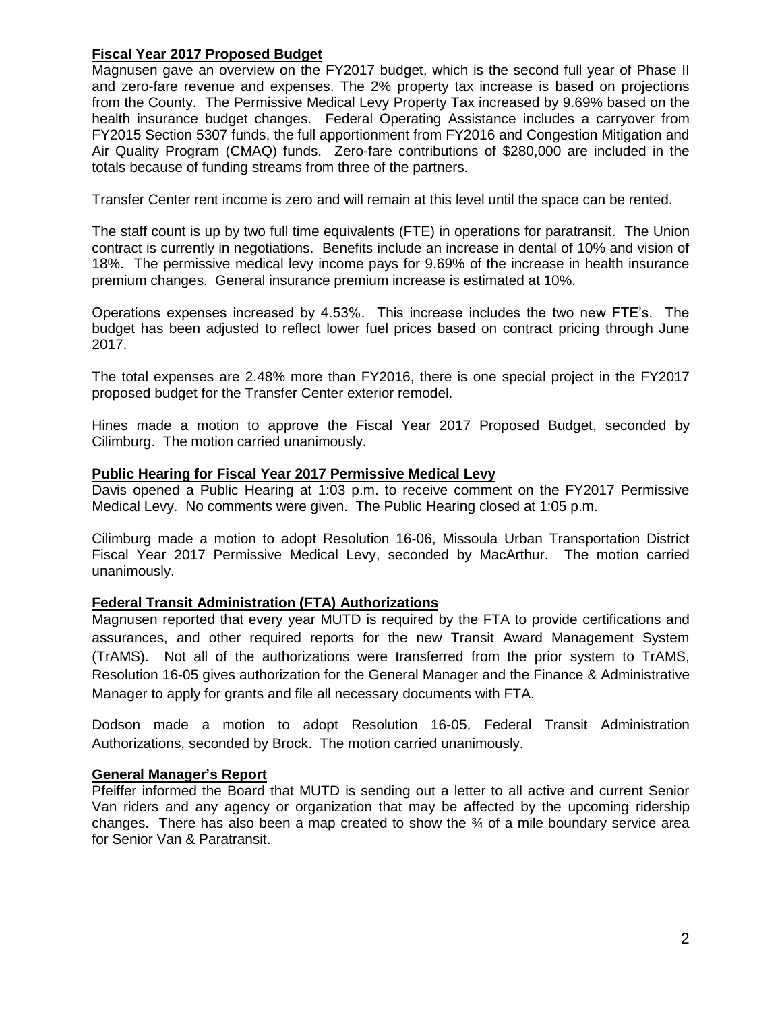### **Fiscal Year 2017 Proposed Budget**

Magnusen gave an overview on the FY2017 budget, which is the second full year of Phase II and zero-fare revenue and expenses. The 2% property tax increase is based on projections from the County. The Permissive Medical Levy Property Tax increased by 9.69% based on the health insurance budget changes. Federal Operating Assistance includes a carryover from FY2015 Section 5307 funds, the full apportionment from FY2016 and Congestion Mitigation and Air Quality Program (CMAQ) funds. Zero-fare contributions of \$280,000 are included in the totals because of funding streams from three of the partners.

Transfer Center rent income is zero and will remain at this level until the space can be rented.

The staff count is up by two full time equivalents (FTE) in operations for paratransit. The Union contract is currently in negotiations. Benefits include an increase in dental of 10% and vision of 18%. The permissive medical levy income pays for 9.69% of the increase in health insurance premium changes. General insurance premium increase is estimated at 10%.

Operations expenses increased by 4.53%. This increase includes the two new FTE's. The budget has been adjusted to reflect lower fuel prices based on contract pricing through June 2017.

The total expenses are 2.48% more than FY2016, there is one special project in the FY2017 proposed budget for the Transfer Center exterior remodel.

Hines made a motion to approve the Fiscal Year 2017 Proposed Budget, seconded by Cilimburg. The motion carried unanimously.

#### **Public Hearing for Fiscal Year 2017 Permissive Medical Levy**

Davis opened a Public Hearing at 1:03 p.m. to receive comment on the FY2017 Permissive Medical Levy. No comments were given. The Public Hearing closed at 1:05 p.m.

Cilimburg made a motion to adopt Resolution 16-06, Missoula Urban Transportation District Fiscal Year 2017 Permissive Medical Levy, seconded by MacArthur. The motion carried unanimously.

## **Federal Transit Administration (FTA) Authorizations**

Magnusen reported that every year MUTD is required by the FTA to provide certifications and assurances, and other required reports for the new Transit Award Management System (TrAMS). Not all of the authorizations were transferred from the prior system to TrAMS, Resolution 16-05 gives authorization for the General Manager and the Finance & Administrative Manager to apply for grants and file all necessary documents with FTA.

Dodson made a motion to adopt Resolution 16-05, Federal Transit Administration Authorizations, seconded by Brock. The motion carried unanimously.

#### **General Manager's Report**

Pfeiffer informed the Board that MUTD is sending out a letter to all active and current Senior Van riders and any agency or organization that may be affected by the upcoming ridership changes. There has also been a map created to show the  $\frac{3}{4}$  of a mile boundary service area for Senior Van & Paratransit.